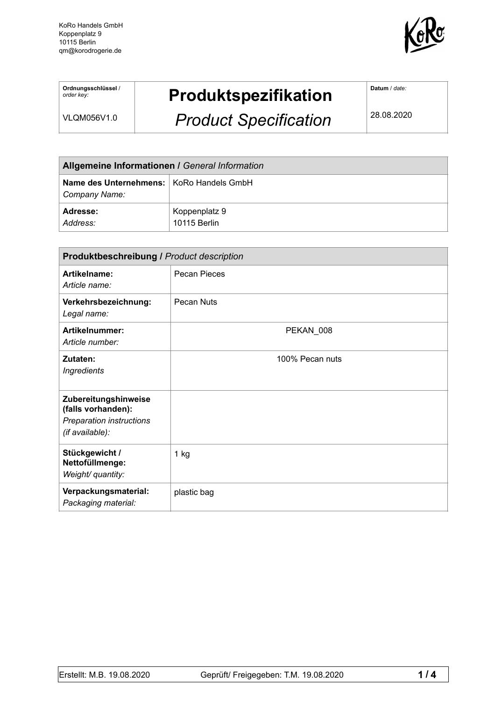KoRo Handels GmbH Koppenplatz 9 10115 Berlin qm@korodrogerie.de



**Ordnungsschlüssel** / *order key:* 

## **Produktspezifikation**

VLQM056V1.0

## *Product Specification*

**Datum** / *date:*

28.08.2020

| Allgemeine Informationen / General Information              |                               |  |
|-------------------------------------------------------------|-------------------------------|--|
| Name des Unternehmens:   KoRo Handels GmbH<br>Company Name: |                               |  |
| <b>Adresse:</b><br>Address:                                 | Koppenplatz 9<br>10115 Berlin |  |

| <b>Produktbeschreibung / Product description</b>                                          |                 |  |
|-------------------------------------------------------------------------------------------|-----------------|--|
| Artikelname:<br>Article name:                                                             | Pecan Pieces    |  |
| Verkehrsbezeichnung:<br>Legal name:                                                       | Pecan Nuts      |  |
| Artikelnummer:<br>Article number:                                                         | PEKAN 008       |  |
| Zutaten:<br><b>Ingredients</b>                                                            | 100% Pecan nuts |  |
| Zubereitungshinweise<br>(falls vorhanden):<br>Preparation instructions<br>(if available): |                 |  |
| Stückgewicht /<br>Nettofüllmenge:<br>Weight/ quantity:                                    | $1$ kg          |  |
| Verpackungsmaterial:<br>Packaging material:                                               | plastic bag     |  |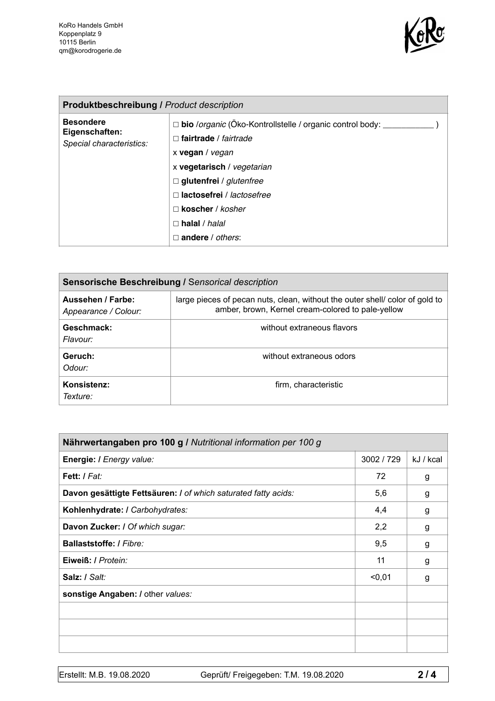

| <b>Produktbeschreibung / Product description</b>               |                                                                                                                             |  |  |
|----------------------------------------------------------------|-----------------------------------------------------------------------------------------------------------------------------|--|--|
| <b>Besondere</b><br>Eigenschaften:<br>Special characteristics: | bio /organic (Öko-Kontrollstelle / organic control body: __<br>$\Box$<br>fairtrade / fairtrade<br>$\Box$<br>x vegan / vegan |  |  |
|                                                                | x vegetarisch / vegetarian<br>$\Box$ glutenfrei / glutenfree                                                                |  |  |
|                                                                | $\Box$ lactosefrei / lactosefree<br>$\Box$ koscher / kosher                                                                 |  |  |
|                                                                | $\Box$ halal / halal<br>andere / others:<br>п                                                                               |  |  |

| Sensorische Beschreibung / Sensorical description |                                                                                                                                  |  |
|---------------------------------------------------|----------------------------------------------------------------------------------------------------------------------------------|--|
| Aussehen / Farbe:<br>Appearance / Colour:         | large pieces of pecan nuts, clean, without the outer shell color of gold to<br>amber, brown, Kernel cream-colored to pale-yellow |  |
| Geschmack:<br>Flavour:                            | without extraneous flavors                                                                                                       |  |
| Geruch:<br>Odour:                                 | without extraneous odors                                                                                                         |  |
| Konsistenz:<br>Texture:                           | firm, characteristic                                                                                                             |  |

| Nährwertangaben pro 100 g / Nutritional information per 100 g  |            |           |
|----------------------------------------------------------------|------------|-----------|
| Energie: I Energy value:                                       | 3002 / 729 | kJ / kcal |
| Fett: I Fat:                                                   | 72         | g         |
| Davon gesättigte Fettsäuren: I of which saturated fatty acids: | 5,6        | g         |
| Kohlenhydrate: I Carbohydrates:                                | 4,4        | g         |
| Davon Zucker: I Of which sugar:                                | 2,2        | g         |
| Ballaststoffe: / Fibre:                                        | 9,5        | g         |
| Eiweiß: / Protein:                                             | 11         | g         |
| Salz: / Salt:                                                  | $0,01$     | g         |
| sonstige Angaben: / other values:                              |            |           |
|                                                                |            |           |
|                                                                |            |           |
|                                                                |            |           |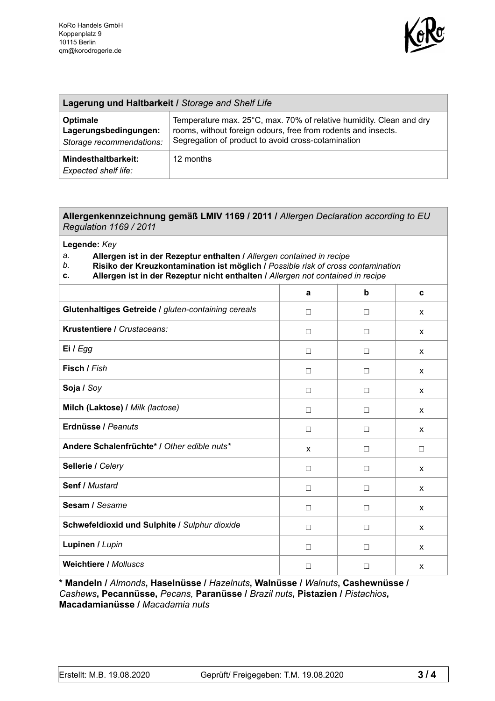

| Lagerung und Haltbarkeit / Storage and Shelf Life             |                                                                                                                                                                                            |  |
|---------------------------------------------------------------|--------------------------------------------------------------------------------------------------------------------------------------------------------------------------------------------|--|
| Optimale<br>Lagerungsbedingungen:<br>Storage recommendations: | Temperature max. 25°C, max. 70% of relative humidity. Clean and dry<br>rooms, without foreign odours, free from rodents and insects.<br>Segregation of product to avoid cross-cotamination |  |
| Mindesthaltbarkeit:<br>Expected shelf life:                   | 12 months                                                                                                                                                                                  |  |

## **Allergenkennzeichnung gemäß LMIV 1169 / 2011 /** *Allergen Declaration according to EU Regulation 1169 / 2011*

**Legende:** *Key* 

*a.* **Allergen ist in der Rezeptur enthalten /** *Allergen contained in recipe* 

- *b.* **Risiko der Kreuzkontamination ist möglich /** *Possible risk of cross contamination*
- **c. Allergen ist in der Rezeptur nicht enthalten /** *Allergen not contained in recipe*

|                                                     | a            | b      | C            |
|-----------------------------------------------------|--------------|--------|--------------|
| Glutenhaltiges Getreide / gluten-containing cereals | $\Box$       | $\Box$ | X            |
| Krustentiere / Crustaceans:                         | $\Box$       | $\Box$ | $\mathsf{x}$ |
| Ei / Egg                                            | $\Box$       | $\Box$ | $\mathsf{x}$ |
| Fisch / Fish                                        | $\Box$       | $\Box$ | X            |
| Soja / Soy                                          | $\Box$       | $\Box$ | $\mathsf{x}$ |
| Milch (Laktose) / Milk (lactose)                    | $\Box$       | $\Box$ | $\mathsf{x}$ |
| Erdnüsse / Peanuts                                  | $\Box$       | $\Box$ | $\mathsf{x}$ |
| Andere Schalenfrüchte* / Other edible nuts*         | $\mathsf{x}$ | $\Box$ | $\Box$       |
| Sellerie / Celery                                   | $\Box$       | $\Box$ | $\mathsf{x}$ |
| Senf / Mustard                                      | $\Box$       | $\Box$ | $\mathsf{x}$ |
| Sesam / Sesame                                      | $\Box$       | $\Box$ | X            |
| Schwefeldioxid und Sulphite / Sulphur dioxide       | $\Box$       | $\Box$ | X            |
| Lupinen / Lupin                                     | $\Box$       | $\Box$ | X            |
| <b>Weichtiere / Molluscs</b>                        | $\Box$       | □      | X            |

**\* Mandeln /** *Almonds***, Haselnüsse /** *Hazelnuts***, Walnüsse /** *Walnuts***, Cashewnüsse /**  *Cashews***, Pecannüsse,** *Pecans,* **Paranüsse /** *Brazil nuts***, Pistazien /** *Pistachios***, Macadamianüsse /** *Macadamia nuts*